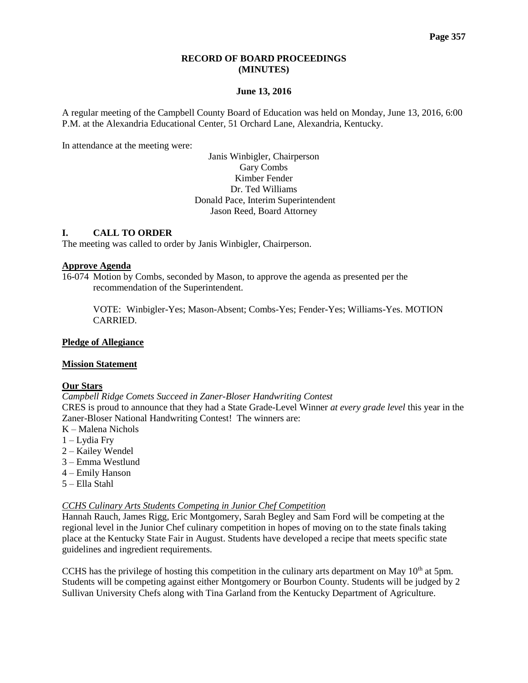### **RECORD OF BOARD PROCEEDINGS (MINUTES)**

### **June 13, 2016**

A regular meeting of the Campbell County Board of Education was held on Monday, June 13, 2016, 6:00 P.M. at the Alexandria Educational Center, 51 Orchard Lane, Alexandria, Kentucky.

In attendance at the meeting were:

Janis Winbigler, Chairperson Gary Combs Kimber Fender Dr. Ted Williams Donald Pace, Interim Superintendent Jason Reed, Board Attorney

### **I. CALL TO ORDER**

The meeting was called to order by Janis Winbigler, Chairperson.

### **Approve Agenda**

16-074 Motion by Combs, seconded by Mason, to approve the agenda as presented per the recommendation of the Superintendent.

VOTE: Winbigler-Yes; Mason-Absent; Combs-Yes; Fender-Yes; Williams-Yes. MOTION CARRIED.

### **Pledge of Allegiance**

### **Mission Statement**

### **Our Stars**

*[Campbell Ridge Comets Succeed in Zaner-Bloser Handwriting Contest](http://www.campbellcountyschools.org/News/53241)* CRES is proud to announce that they had a State Grade-Level Winner *at every grade level* this year in the Zaner-Bloser National Handwriting Contest! The winners are:

- K Malena Nichols
- 1 Lydia Fry
- 2 Kailey Wendel
- 3 Emma Westlund
- 4 Emily Hanson
- 5 Ella Stahl

### *[CCHS Culinary Arts Students Competing in Junior Chef Competition](http://www.campbellcountyschools.org/News/53234)*

Hannah Rauch, James Rigg, Eric Montgomery, Sarah Begley and Sam Ford will be competing at the regional level in the Junior Chef culinary competition in hopes of moving on to the state finals taking place at the Kentucky State Fair in August. Students have developed a recipe that meets specific state guidelines and ingredient requirements.

CCHS has the privilege of hosting this competition in the culinary arts department on May  $10<sup>th</sup>$  at 5pm. Students will be competing against either Montgomery or Bourbon County. Students will be judged by 2 Sullivan University Chefs along with Tina Garland from the Kentucky Department of Agriculture.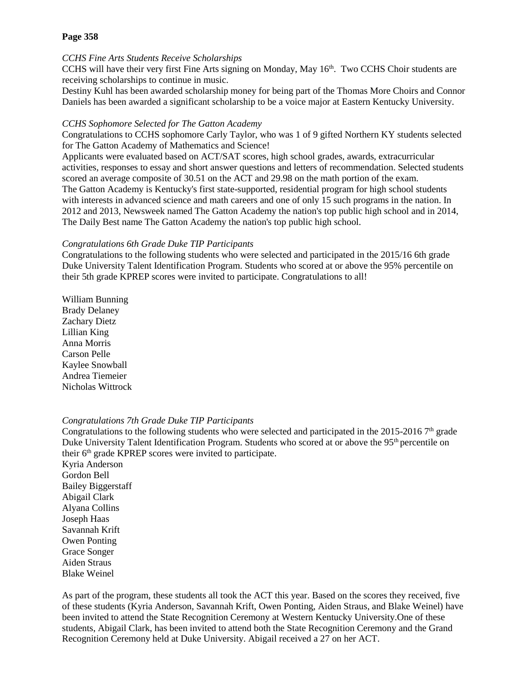## **Page 358**

### *[CCHS Fine Arts Students Receive Scholarships](http://www.campbellcountyschools.org/News/53242)*

CCHS will have their very first Fine Arts signing on Monday, May 16<sup>th</sup>. Two CCHS Choir students are receiving scholarships to continue in music.

Destiny Kuhl has been awarded scholarship money for being part of the Thomas More Choirs and Connor Daniels has been awarded a significant scholarship to be a voice major at Eastern Kentucky University.

## *[CCHS Sophomore Selected for The Gatton Academy](http://www.campbellcountyschools.org/News/53243)*

Congratulations to CCHS sophomore Carly Taylor, who was 1 of 9 gifted Northern KY students selected for The Gatton Academy of Mathematics and Science!

Applicants were evaluated based on ACT/SAT scores, high school grades, awards, extracurricular activities, responses to essay and short answer questions and letters of recommendation. Selected students scored an average composite of 30.51 on the ACT and 29.98 on the math portion of the exam. The Gatton Academy is Kentucky's first state-supported, residential program for high school students with interests in advanced science and math careers and one of only 15 such programs in the nation. In 2012 and 2013, Newsweek named The Gatton Academy the nation's top public high school and in 2014, The Daily Best name The Gatton Academy the nation's top public high school.

### *[Congratulations 6th Grade Duke TIP Participants](http://www.campbellcountyschools.org/News/53248)*

Congratulations to the following students who were selected and participated in the 2015/16 6th grade Duke University Talent Identification Program. Students who scored at or above the 95% percentile on their 5th grade KPREP scores were invited to participate. Congratulations to all!

William Bunning Brady Delaney Zachary Dietz Lillian King Anna Morris Carson Pelle Kaylee Snowball Andrea Tiemeier Nicholas Wittrock

### *[Congratulations 7th Grade Duke TIP Participants](http://www.campbellcountyschools.org/News/53249)*

Congratulations to the following students who were selected and participated in the 2015-2016  $7<sup>th</sup>$  grade Duke University Talent Identification Program. Students who scored at or above the 95<sup>th</sup> percentile on their  $6<sup>th</sup>$  grade KPREP scores were invited to participate. Kyria Anderson Gordon Bell Bailey Biggerstaff Abigail Clark Alyana Collins Joseph Haas Savannah Krift Owen Ponting Grace Songer Aiden Straus Blake Weinel

As part of the program, these students all took the ACT this year. Based on the scores they received, five of these students (Kyria Anderson, Savannah Krift, Owen Ponting, Aiden Straus, and Blake Weinel) have been invited to attend the State Recognition Ceremony at Western Kentucky University.One of these students, Abigail Clark, has been invited to attend both the State Recognition Ceremony and the Grand Recognition Ceremony held at Duke University. Abigail received a 27 on her ACT.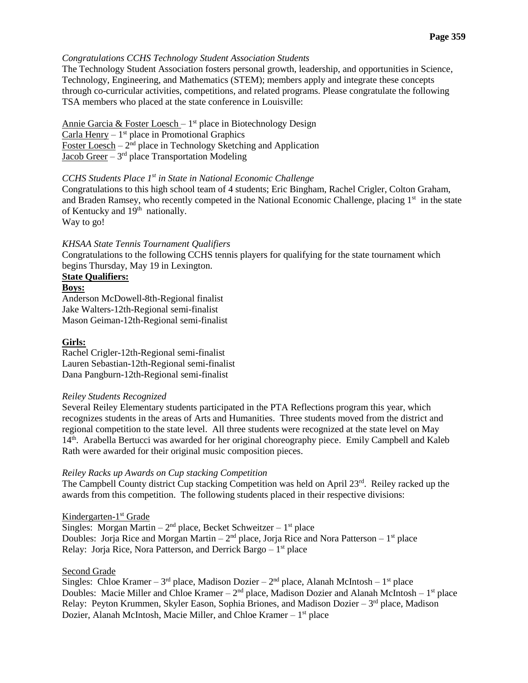### *[Congratulations CCHS Technology Student Association Students](http://www.campbellcountyschools.org/News/53236)*

The Technology Student Association fosters personal growth, leadership, and opportunities in Science, Technology, Engineering, and Mathematics (STEM); members apply and integrate these concepts through co-curricular activities, competitions, and related programs. Please congratulate the following TSA members who placed at the state conference in Louisville:

Annie Garcia & Foster Loesch - 1<sup>st</sup> place in Biotechnology Design Carla Henry  $-1$ <sup>st</sup> place in Promotional Graphics Foster Loesch  $-2<sup>nd</sup>$  place in Technology Sketching and Application Jacob Greer - 3<sup>rd</sup> place Transportation Modeling

## *CCHS Students Place 1st [in State in National Economic Challenge](http://www.campbellcountyschools.org/News/53237)*

Congratulations to this high school team of 4 students; Eric Bingham, Rachel Crigler, Colton Graham, and Braden Ramsey, who recently competed in the National Economic Challenge, placing 1<sup>st</sup> in the state of Kentucky and 19th nationally.

Way to go!

### *KHSAA [State Tennis Tournament Qualifiers](http://www.campbellcountyschools.org/News/53239)*

Congratulations to the following CCHS tennis players for qualifying for the state tournament which begins Thursday, May 19 in Lexington.

## **State Qualifiers:**

**Boys:**

Anderson McDowell-8th-Regional finalist Jake Walters-12th-Regional semi-finalist Mason Geiman-12th-Regional semi-finalist

### **Girls:**

Rachel Crigler-12th-Regional semi-finalist Lauren Sebastian-12th-Regional semi-finalist Dana Pangburn-12th-Regional semi-finalist

#### *Reiley Students Recognized*

Several Reiley Elementary students participated in the PTA Reflections program this year, which recognizes students in the areas of Arts and Humanities. Three students moved from the district and regional competition to the state level. All three students were recognized at the state level on May 14<sup>th</sup>. Arabella Bertucci was awarded for her original choreography piece. Emily Campbell and Kaleb Rath were awarded for their original music composition pieces.

#### *Reiley Racks up Awards on Cup stacking Competition*

The Campbell County district Cup stacking Competition was held on April 23<sup>rd</sup>. Reiley racked up the awards from this competition. The following students placed in their respective divisions:

### Kindergarten-1<sup>st</sup> Grade

Singles: Morgan Martin  $-2<sup>nd</sup>$  place, Becket Schweitzer  $-1<sup>st</sup>$  place Doubles: Jorja Rice and Morgan Martin –  $2<sup>nd</sup>$  place, Jorja Rice and Nora Patterson –  $1<sup>st</sup>$  place Relay: Jorja Rice, Nora Patterson, and Derrick Bargo - 1<sup>st</sup> place

### Second Grade

Singles: Chloe Kramer – 3<sup>rd</sup> place, Madison Dozier – 2<sup>nd</sup> place, Alanah McIntosh – 1<sup>st</sup> place Doubles: Macie Miller and Chloe Kramer –  $2<sup>nd</sup>$  place, Madison Dozier and Alanah McIntosh –  $1<sup>st</sup>$  place Relay: Peyton Krummen, Skyler Eason, Sophia Briones, and Madison Dozier  $-3<sup>rd</sup>$  place, Madison Dozier, Alanah McIntosh, Macie Miller, and Chloe Kramer – 1<sup>st</sup> place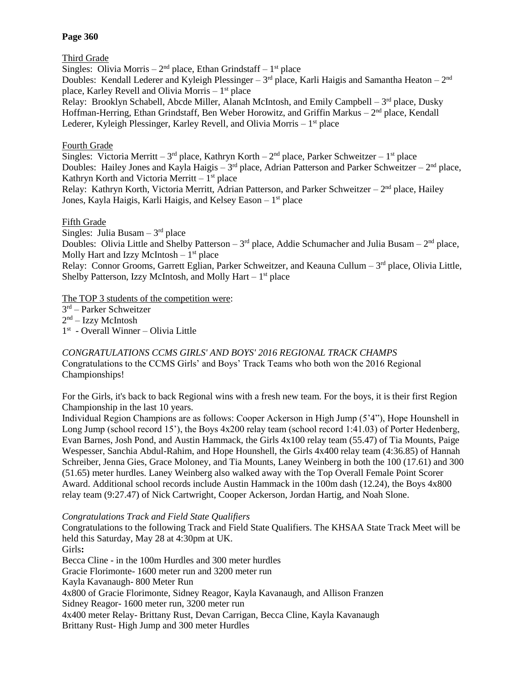## **Page 360**

# Third Grade

Singles: Olivia Morris  $-2<sup>nd</sup>$  place, Ethan Grindstaff  $-1<sup>st</sup>$  place Doubles: Kendall Lederer and Kyleigh Plessinger – 3<sup>rd</sup> place, Karli Haigis and Samantha Heaton – 2<sup>nd</sup> place, Karley Revell and Olivia Morris  $-1<sup>st</sup>$  place Relay: Brooklyn Schabell, Abcde Miller, Alanah McIntosh, and Emily Campbell – 3<sup>rd</sup> place, Dusky Hoffman-Herring, Ethan Grindstaff, Ben Weber Horowitz, and Griffin Markus – 2<sup>nd</sup> place, Kendall Lederer, Kyleigh Plessinger, Karley Revell, and Olivia Morris - 1<sup>st</sup> place

# Fourth Grade

Singles: Victoria Merritt – 3<sup>rd</sup> place, Kathryn Korth – 2<sup>nd</sup> place, Parker Schweitzer – 1<sup>st</sup> place Doubles: Hailey Jones and Kayla Haigis  $-3<sup>rd</sup>$  place, Adrian Patterson and Parker Schweitzer  $-2<sup>nd</sup>$  place, Kathryn Korth and Victoria Merritt  $-1<sup>st</sup>$  place

Relay: Kathryn Korth, Victoria Merritt, Adrian Patterson, and Parker Schweitzer - 2<sup>nd</sup> place, Hailey Jones, Kayla Haigis, Karli Haigis, and Kelsey Eason - 1<sup>st</sup> place

# Fifth Grade

Singles: Julia Busam  $-3<sup>rd</sup>$  place

Doubles: Olivia Little and Shelby Patterson –  $3<sup>rd</sup>$  place, Addie Schumacher and Julia Busam –  $2<sup>nd</sup>$  place, Molly Hart and Izzy McIntosh  $-1<sup>st</sup>$  place

Relay: Connor Grooms, Garrett Eglian, Parker Schweitzer, and Keauna Cullum – 3<sup>rd</sup> place, Olivia Little, Shelby Patterson, Izzy McIntosh, and Molly Hart  $-1<sup>st</sup>$  place

The TOP 3 students of the competition were:

3 rd – Parker Schweitzer 2<sup>nd</sup> – Izzy McIntosh

1 st - Overall Winner – Olivia Little

## *[CONGRATULATIONS CCMS GIRLS' AND BOYS' 2016 REGIONAL TRACK CHAMPS](http://www.campbellcountyschools.org/News/53263)* Congratulations to the CCMS Girls' and Boys' Track Teams who both won the 2016 Regional Championships!

For the Girls, it's back to back Regional wins with a fresh new team. For the boys, it is their first Region Championship in the last 10 years.

Individual Region Champions are as follows: Cooper Ackerson in High Jump (5'4"), Hope Hounshell in Long Jump (school record 15'), the Boys 4x200 relay team (school record 1:41.03) of Porter Hedenberg, Evan Barnes, Josh Pond, and Austin Hammack, the Girls 4x100 relay team (55.47) of Tia Mounts, Paige Wespesser, Sanchia Abdul-Rahim, and Hope Hounshell, the Girls 4x400 relay team (4:36.85) of Hannah Schreiber, Jenna Gies, Grace Moloney, and Tia Mounts, Laney Weinberg in both the 100 (17.61) and 300 (51.65) meter hurdles. Laney Weinberg also walked away with the Top Overall Female Point Scorer Award. Additional school records include Austin Hammack in the 100m dash (12.24), the Boys 4x800 relay team (9:27.47) of Nick Cartwright, Cooper Ackerson, Jordan Hartig, and Noah Slone.

*[Congratulations Track and Field State Qualifiers](http://www.campbellcountyschools.org/News/53262)*

Congratulations to the following Track and Field State Qualifiers. The KHSAA State Track Meet will be held this Saturday, May 28 at 4:30pm at UK. Girls**:** Becca Cline - in the 100m Hurdles and 300 meter hurdles Gracie Florimonte- 1600 meter run and 3200 meter run Kayla Kavanaugh- 800 Meter Run 4x800 of Gracie Florimonte, Sidney Reagor, Kayla Kavanaugh, and Allison Franzen Sidney Reagor- 1600 meter run, 3200 meter run 4x400 meter Relay- Brittany Rust, Devan Carrigan, Becca Cline, Kayla Kavanaugh Brittany Rust- High Jump and 300 meter Hurdles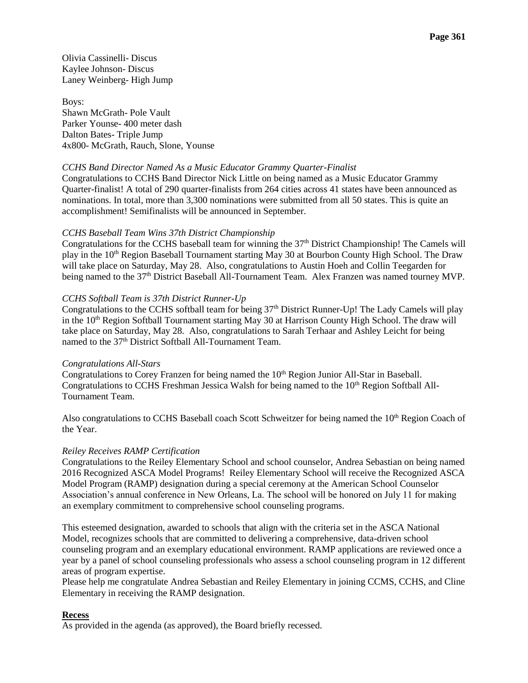Olivia Cassinelli- Discus Kaylee Johnson- Discus Laney Weinberg- High Jump

Boys: Shawn McGrath- Pole Vault Parker Younse- 400 meter dash Dalton Bates- Triple Jump 4x800- McGrath, Rauch, Slone, Younse

## *[CCHS Band Director Named As a Music Educator Grammy Quarter-Finalist](http://www.campbellcountyschools.org/News/53259)*

Congratulations to CCHS Band Director Nick Little on being named as a Music Educator Grammy Quarter-finalist! A total of 290 quarter-finalists from 264 cities across 41 states have been announced as nominations. In total, more than 3,300 nominations were submitted from all 50 states. This is quite an accomplishment! Semifinalists will be announced in September.

### *[CCHS Baseball Team Wins 37th District Championship](http://www.campbellcountyschools.org/News/53269)*

Congratulations for the CCHS baseball team for winning the 37th District Championship! The Camels will play in the 10<sup>th</sup> Region Baseball Tournament starting May 30 at Bourbon County High School. The Draw will take place on Saturday, May 28. Also, congratulations to Austin Hoeh and Collin Teegarden for being named to the 37<sup>th</sup> District Baseball All-Tournament Team. Alex Franzen was named tourney MVP.

### *[CCHS Softball Team is 37th District Runner-Up](http://www.campbellcountyschools.org/News/53270)*

Congratulations to the CCHS softball team for being 37<sup>th</sup> District Runner-Up! The Lady Camels will play in the  $10<sup>th</sup>$  Region Softball Tournament starting May 30 at Harrison County High School. The draw will take place on Saturday, May 28. Also, congratulations to Sarah Terhaar and Ashley Leicht for being named to the 37<sup>th</sup> District Softball All-Tournament Team.

### *[Congratulations All-Stars](http://www.campbellcountyschools.org/News/53273)*

Congratulations to Corey Franzen for being named the 10<sup>th</sup> Region Junior All-Star in Baseball. Congratulations to CCHS Freshman Jessica Walsh for being named to the  $10<sup>th</sup>$  Region Softball All-Tournament Team.

Also congratulations to CCHS Baseball coach Scott Schweitzer for being named the 10<sup>th</sup> Region Coach of the Year.

### *Reiley Receives RAMP Certification*

Congratulations to the Reiley Elementary School and school counselor, Andrea Sebastian on being named 2016 Recognized ASCA Model Programs! Reiley Elementary School will receive the Recognized ASCA Model Program (RAMP) designation during a special ceremony at the American School Counselor Association's annual conference in New Orleans, La. The school will be honored on July 11 for making an exemplary commitment to comprehensive school counseling programs.

This esteemed designation, awarded to schools that align with the criteria set in the ASCA National Model, recognizes schools that are committed to delivering a comprehensive, data-driven school counseling program and an exemplary educational environment. RAMP applications are reviewed once a year by a panel of school counseling professionals who assess a school counseling program in 12 different areas of program expertise.

Please help me congratulate Andrea Sebastian and Reiley Elementary in joining CCMS, CCHS, and Cline Elementary in receiving the RAMP designation.

## **Recess**

As provided in the agenda (as approved), the Board briefly recessed.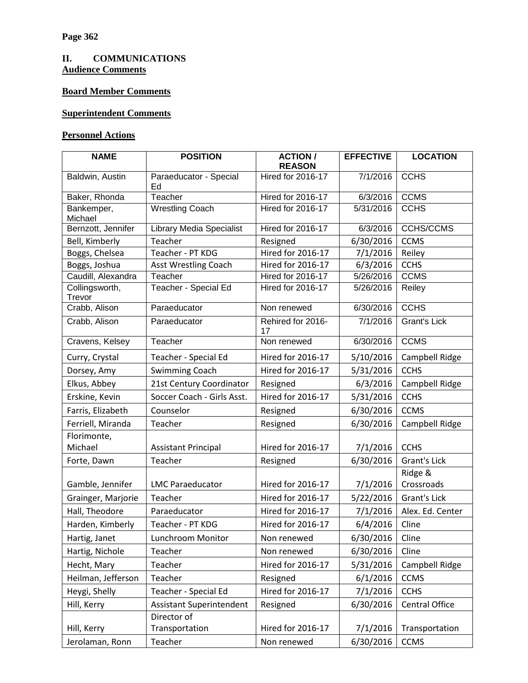# **II. COMMUNICATIONS Audience Comments**

# **Board Member Comments**

# **Superintendent Comments**

# **Personnel Actions**

| <b>NAME</b>              | <b>POSITION</b>                 | <b>ACTION /</b><br><b>REASON</b> | <b>EFFECTIVE</b> | <b>LOCATION</b>     |
|--------------------------|---------------------------------|----------------------------------|------------------|---------------------|
| Baldwin, Austin          | Paraeducator - Special<br>Ed    | <b>Hired for 2016-17</b>         | 7/1/2016         | <b>CCHS</b>         |
| Baker, Rhonda            | Teacher                         | <b>Hired for 2016-17</b>         | 6/3/2016         | <b>CCMS</b>         |
| Bankemper,<br>Michael    | <b>Wrestling Coach</b>          | <b>Hired for 2016-17</b>         | 5/31/2016        | <b>CCHS</b>         |
| Bernzott, Jennifer       | <b>Library Media Specialist</b> | <b>Hired for 2016-17</b>         | 6/3/2016         | <b>CCHS/CCMS</b>    |
| Bell, Kimberly           | Teacher                         | Resigned                         | 6/30/2016        | <b>CCMS</b>         |
| Boggs, Chelsea           | Teacher - PT KDG                | Hired for 2016-17                | 7/1/2016         | Reiley              |
| Boggs, Joshua            | Asst Wrestling Coach            | Hired for 2016-17                | 6/3/2016         | <b>CCHS</b>         |
| Caudill, Alexandra       | Teacher                         | Hired for 2016-17                | 5/26/2016        | <b>CCMS</b>         |
| Collingsworth,<br>Trevor | Teacher - Special Ed            | <b>Hired for 2016-17</b>         | 5/26/2016        | Reiley              |
| Crabb, Alison            | Paraeducator                    | Non renewed                      | 6/30/2016        | <b>CCHS</b>         |
| Crabb, Alison            | Paraeducator                    | Rehired for 2016-<br>17          | 7/1/2016         | <b>Grant's Lick</b> |
| Cravens, Kelsey          | Teacher                         | Non renewed                      | 6/30/2016        | <b>CCMS</b>         |
| Curry, Crystal           | Teacher - Special Ed            | Hired for 2016-17                | 5/10/2016        | Campbell Ridge      |
| Dorsey, Amy              | <b>Swimming Coach</b>           | Hired for 2016-17                | 5/31/2016        | <b>CCHS</b>         |
| Elkus, Abbey             | 21st Century Coordinator        | Resigned                         | 6/3/2016         | Campbell Ridge      |
| Erskine, Kevin           | Soccer Coach - Girls Asst.      | Hired for 2016-17                | 5/31/2016        | <b>CCHS</b>         |
| Farris, Elizabeth        | Counselor                       | Resigned                         | 6/30/2016        | <b>CCMS</b>         |
| Ferriell, Miranda        | Teacher                         | Resigned                         | 6/30/2016        | Campbell Ridge      |
| Florimonte,              |                                 |                                  |                  |                     |
| Michael                  | <b>Assistant Principal</b>      | Hired for 2016-17                | 7/1/2016         | <b>CCHS</b>         |
| Forte, Dawn              | Teacher                         | Resigned                         | 6/30/2016        | <b>Grant's Lick</b> |
|                          |                                 |                                  |                  | Ridge &             |
| Gamble, Jennifer         | <b>LMC Paraeducator</b>         | Hired for 2016-17                | 7/1/2016         | Crossroads          |
| Grainger, Marjorie       | Teacher                         | Hired for 2016-17                | 5/22/2016        | <b>Grant's Lick</b> |
| Hall, Theodore           | Paraeducator                    | Hired for 2016-17                | 7/1/2016         | Alex. Ed. Center    |
| Harden, Kimberly         | Teacher - PT KDG                | Hired for 2016-17                | 6/4/2016         | Cline               |
| Hartig, Janet            | Lunchroom Monitor               | Non renewed                      | 6/30/2016        | Cline               |
| Hartig, Nichole          | Teacher                         | Non renewed                      | 6/30/2016        | Cline               |
| Hecht, Mary              | Teacher                         | Hired for 2016-17                | 5/31/2016        | Campbell Ridge      |
| Heilman, Jefferson       | Teacher                         | Resigned                         | 6/1/2016         | <b>CCMS</b>         |
| Heygi, Shelly            | Teacher - Special Ed            | Hired for 2016-17                | 7/1/2016         | <b>CCHS</b>         |
| Hill, Kerry              | Assistant Superintendent        | Resigned                         | 6/30/2016        | Central Office      |
|                          | Director of                     |                                  |                  |                     |
| Hill, Kerry              | Transportation                  | Hired for 2016-17                | 7/1/2016         | Transportation      |
| Jerolaman, Ronn          | Teacher                         | Non renewed                      | 6/30/2016        | <b>CCMS</b>         |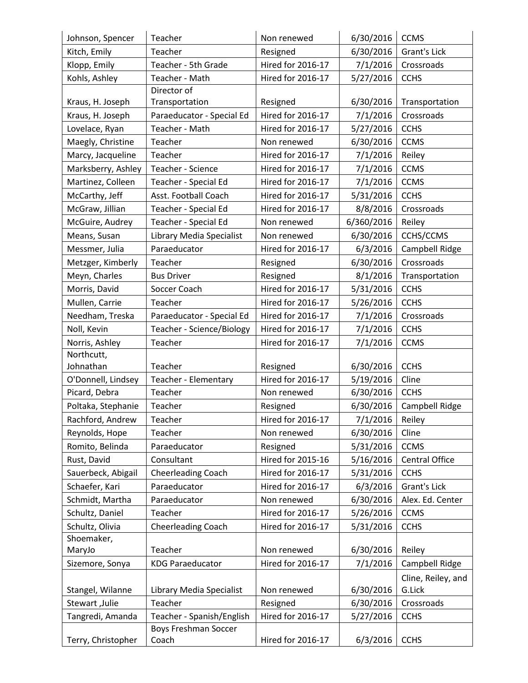| Johnson, Spencer   | Teacher                     | Non renewed              | 6/30/2016  | <b>CCMS</b>        |
|--------------------|-----------------------------|--------------------------|------------|--------------------|
| Kitch, Emily       | Teacher                     | Resigned                 | 6/30/2016  | Grant's Lick       |
| Klopp, Emily       | Teacher - 5th Grade         | Hired for 2016-17        | 7/1/2016   | Crossroads         |
| Kohls, Ashley      | Teacher - Math              | Hired for 2016-17        | 5/27/2016  | <b>CCHS</b>        |
|                    | Director of                 |                          |            |                    |
| Kraus, H. Joseph   | Transportation              | Resigned                 | 6/30/2016  | Transportation     |
| Kraus, H. Joseph   | Paraeducator - Special Ed   | Hired for 2016-17        | 7/1/2016   | Crossroads         |
| Lovelace, Ryan     | Teacher - Math              | Hired for 2016-17        | 5/27/2016  | <b>CCHS</b>        |
| Maegly, Christine  | Teacher                     | Non renewed              | 6/30/2016  | <b>CCMS</b>        |
| Marcy, Jacqueline  | Teacher                     | Hired for 2016-17        | 7/1/2016   | Reiley             |
| Marksberry, Ashley | Teacher - Science           | Hired for 2016-17        | 7/1/2016   | <b>CCMS</b>        |
| Martinez, Colleen  | Teacher - Special Ed        | Hired for 2016-17        | 7/1/2016   | <b>CCMS</b>        |
| McCarthy, Jeff     | Asst. Football Coach        | Hired for 2016-17        | 5/31/2016  | <b>CCHS</b>        |
| McGraw, Jillian    | Teacher - Special Ed        | Hired for 2016-17        | 8/8/2016   | Crossroads         |
| McGuire, Audrey    | Teacher - Special Ed        | Non renewed              | 6/360/2016 | Reiley             |
| Means, Susan       | Library Media Specialist    | Non renewed              | 6/30/2016  | CCHS/CCMS          |
| Messmer, Julia     | Paraeducator                | Hired for 2016-17        | 6/3/2016   | Campbell Ridge     |
| Metzger, Kimberly  | Teacher                     | Resigned                 | 6/30/2016  | Crossroads         |
| Meyn, Charles      | <b>Bus Driver</b>           | Resigned                 | 8/1/2016   | Transportation     |
| Morris, David      | Soccer Coach                | Hired for 2016-17        | 5/31/2016  | <b>CCHS</b>        |
| Mullen, Carrie     | Teacher                     | Hired for 2016-17        | 5/26/2016  | <b>CCHS</b>        |
| Needham, Treska    | Paraeducator - Special Ed   | Hired for 2016-17        | 7/1/2016   | Crossroads         |
| Noll, Kevin        | Teacher - Science/Biology   | Hired for 2016-17        | 7/1/2016   | <b>CCHS</b>        |
| Norris, Ashley     | Teacher                     | Hired for 2016-17        | 7/1/2016   | <b>CCMS</b>        |
| Northcutt,         |                             |                          |            |                    |
| Johnathan          | Teacher                     | Resigned                 | 6/30/2016  | <b>CCHS</b>        |
| O'Donnell, Lindsey | Teacher - Elementary        | Hired for 2016-17        | 5/19/2016  | Cline              |
| Picard, Debra      | Teacher                     | Non renewed              | 6/30/2016  | <b>CCHS</b>        |
| Poltaka, Stephanie | Teacher                     | Resigned                 | 6/30/2016  | Campbell Ridge     |
| Rachford, Andrew   | Teacher                     | Hired for 2016-17        | 7/1/2016   | Reiley             |
| Reynolds, Hope     | Teacher                     | Non renewed              | 6/30/2016  | Cline              |
| Romito, Belinda    | Paraeducator                | Resigned                 | 5/31/2016  | <b>CCMS</b>        |
| Rust, David        | Consultant                  | Hired for 2015-16        | 5/16/2016  | Central Office     |
| Sauerbeck, Abigail | <b>Cheerleading Coach</b>   | <b>Hired for 2016-17</b> | 5/31/2016  | <b>CCHS</b>        |
| Schaefer, Kari     | Paraeducator                | Hired for 2016-17        | 6/3/2016   | Grant's Lick       |
| Schmidt, Martha    | Paraeducator                | Non renewed              | 6/30/2016  | Alex. Ed. Center   |
| Schultz, Daniel    | Teacher                     | Hired for 2016-17        | 5/26/2016  | <b>CCMS</b>        |
| Schultz, Olivia    | <b>Cheerleading Coach</b>   | Hired for 2016-17        | 5/31/2016  | <b>CCHS</b>        |
| Shoemaker,         |                             |                          |            |                    |
| MaryJo             | Teacher                     | Non renewed              | 6/30/2016  | Reiley             |
| Sizemore, Sonya    | <b>KDG Paraeducator</b>     | Hired for 2016-17        | 7/1/2016   | Campbell Ridge     |
|                    |                             |                          |            | Cline, Reiley, and |
| Stangel, Wilanne   | Library Media Specialist    | Non renewed              | 6/30/2016  | G.Lick             |
| Stewart, Julie     | Teacher                     | Resigned                 | 6/30/2016  | Crossroads         |
| Tangredi, Amanda   | Teacher - Spanish/English   | Hired for 2016-17        | 5/27/2016  | <b>CCHS</b>        |
|                    | <b>Boys Freshman Soccer</b> |                          |            |                    |
| Terry, Christopher | Coach                       | Hired for 2016-17        | 6/3/2016   | <b>CCHS</b>        |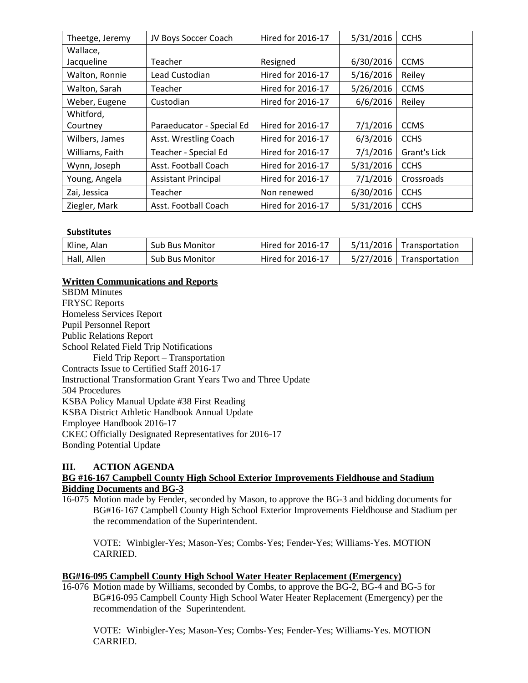| Theetge, Jeremy | JV Boys Soccer Coach       | <b>Hired for 2016-17</b> | 5/31/2016 | <b>CCHS</b>  |
|-----------------|----------------------------|--------------------------|-----------|--------------|
| Wallace,        |                            |                          |           |              |
| Jacqueline      | Teacher                    | Resigned                 | 6/30/2016 | <b>CCMS</b>  |
| Walton, Ronnie  | Lead Custodian             | Hired for 2016-17        | 5/16/2016 | Reiley       |
| Walton, Sarah   | Teacher                    | Hired for 2016-17        | 5/26/2016 | <b>CCMS</b>  |
| Weber, Eugene   | Custodian                  | <b>Hired for 2016-17</b> | 6/6/2016  | Reiley       |
| Whitford,       |                            |                          |           |              |
| Courtney        | Paraeducator - Special Ed  | <b>Hired for 2016-17</b> | 7/1/2016  | <b>CCMS</b>  |
| Wilbers, James  | Asst. Wrestling Coach      | Hired for 2016-17        | 6/3/2016  | <b>CCHS</b>  |
| Williams, Faith | Teacher - Special Ed       | Hired for 2016-17        | 7/1/2016  | Grant's Lick |
| Wynn, Joseph    | Asst. Football Coach       | <b>Hired for 2016-17</b> | 5/31/2016 | <b>CCHS</b>  |
| Young, Angela   | <b>Assistant Principal</b> | Hired for 2016-17        | 7/1/2016  | Crossroads   |
| Zai, Jessica    | Teacher                    | Non renewed              | 6/30/2016 | <b>CCHS</b>  |
| Ziegler, Mark   | Asst. Football Coach       | Hired for 2016-17        | 5/31/2016 | <b>CCHS</b>  |

# **Substitutes**

| Kline, Alan | <b>Sub Bus Monitor</b> | Hired for 2016-17 | $5/11/2016$ Transportation |
|-------------|------------------------|-------------------|----------------------------|
| Hall, Allen | <b>Sub Bus Monitor</b> | Hired for 2016-17 | 5/27/2016   Transportation |

# **Written Communications and Reports**

SBDM Minutes FRYSC Reports Homeless Services Report Pupil Personnel Report Public Relations Report School Related Field Trip Notifications Field Trip Report – Transportation Contracts Issue to Certified Staff 2016-17 Instructional Transformation Grant Years Two and Three Update 504 Procedures KSBA Policy Manual Update #38 First Reading KSBA District Athletic Handbook Annual Update Employee Handbook 2016-17 CKEC Officially Designated Representatives for 2016-17 Bonding Potential Update

# **III. ACTION AGENDA**

## **BG #16-167 Campbell County High School Exterior Improvements Fieldhouse and Stadium Bidding Documents and BG-3**

16-075 Motion made by Fender, seconded by Mason, to approve the BG-3 and bidding documents for BG#16-167 Campbell County High School Exterior Improvements Fieldhouse and Stadium per the recommendation of the Superintendent.

VOTE: Winbigler-Yes; Mason-Yes; Combs-Yes; Fender-Yes; Williams-Yes. MOTION CARRIED.

## **BG#16-095 Campbell County High School Water Heater Replacement (Emergency)**

16-076 Motion made by Williams, seconded by Combs, to approve the BG-2, BG-4 and BG-5 for BG#16-095 Campbell County High School Water Heater Replacement (Emergency) per the recommendation of the Superintendent.

VOTE: Winbigler-Yes; Mason-Yes; Combs-Yes; Fender-Yes; Williams-Yes. MOTION CARRIED.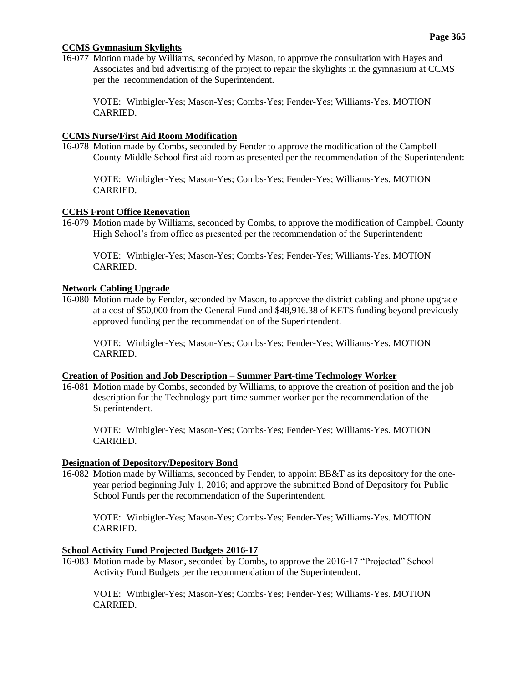## **CCMS Gymnasium Skylights**

16-077 Motion made by Williams, seconded by Mason, to approve the consultation with Hayes and Associates and bid advertising of the project to repair the skylights in the gymnasium at CCMS per the recommendation of the Superintendent.

VOTE: Winbigler-Yes; Mason-Yes; Combs-Yes; Fender-Yes; Williams-Yes. MOTION CARRIED.

### **CCMS Nurse/First Aid Room Modification**

16-078 Motion made by Combs, seconded by Fender to approve the modification of the Campbell County Middle School first aid room as presented per the recommendation of the Superintendent:

VOTE: Winbigler-Yes; Mason-Yes; Combs-Yes; Fender-Yes; Williams-Yes. MOTION CARRIED.

### **CCHS Front Office Renovation**

16-079 Motion made by Williams, seconded by Combs, to approve the modification of Campbell County High School's from office as presented per the recommendation of the Superintendent:

VOTE: Winbigler-Yes; Mason-Yes; Combs-Yes; Fender-Yes; Williams-Yes. MOTION CARRIED.

### **Network Cabling Upgrade**

16-080 Motion made by Fender, seconded by Mason, to approve the district cabling and phone upgrade at a cost of \$50,000 from the General Fund and \$48,916.38 of KETS funding beyond previously approved funding per the recommendation of the Superintendent.

VOTE: Winbigler-Yes; Mason-Yes; Combs-Yes; Fender-Yes; Williams-Yes. MOTION CARRIED.

#### **Creation of Position and Job Description – Summer Part-time Technology Worker**

16-081 Motion made by Combs, seconded by Williams, to approve the creation of position and the job description for the Technology part-time summer worker per the recommendation of the Superintendent.

VOTE: Winbigler-Yes; Mason-Yes; Combs-Yes; Fender-Yes; Williams-Yes. MOTION CARRIED.

#### **Designation of Depository/Depository Bond**

16-082 Motion made by Williams, seconded by Fender, to appoint BB&T as its depository for the oneyear period beginning July 1, 2016; and approve the submitted Bond of Depository for Public School Funds per the recommendation of the Superintendent.

VOTE: Winbigler-Yes; Mason-Yes; Combs-Yes; Fender-Yes; Williams-Yes. MOTION CARRIED.

### **School Activity Fund Projected Budgets 2016-17**

16-083 Motion made by Mason, seconded by Combs, to approve the 2016-17 "Projected" School Activity Fund Budgets per the recommendation of the Superintendent.

VOTE: Winbigler-Yes; Mason-Yes; Combs-Yes; Fender-Yes; Williams-Yes. MOTION CARRIED.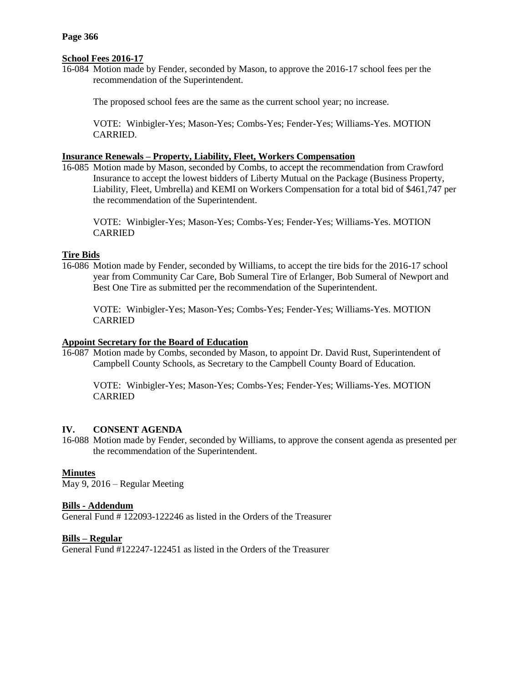# **School Fees 2016-17**

16-084 Motion made by Fender, seconded by Mason, to approve the 2016-17 school fees per the recommendation of the Superintendent.

The proposed school fees are the same as the current school year; no increase.

VOTE: Winbigler-Yes; Mason-Yes; Combs-Yes; Fender-Yes; Williams-Yes. MOTION CARRIED.

## **Insurance Renewals – Property, Liability, Fleet, Workers Compensation**

16-085 Motion made by Mason, seconded by Combs, to accept the recommendation from Crawford Insurance to accept the lowest bidders of Liberty Mutual on the Package (Business Property, Liability, Fleet, Umbrella) and KEMI on Workers Compensation for a total bid of \$461,747 per the recommendation of the Superintendent.

VOTE: Winbigler-Yes; Mason-Yes; Combs-Yes; Fender-Yes; Williams-Yes. MOTION CARRIED

# **Tire Bids**

16-086 Motion made by Fender, seconded by Williams, to accept the tire bids for the 2016-17 school year from Community Car Care, Bob Sumeral Tire of Erlanger, Bob Sumeral of Newport and Best One Tire as submitted per the recommendation of the Superintendent.

VOTE: Winbigler-Yes; Mason-Yes; Combs-Yes; Fender-Yes; Williams-Yes. MOTION CARRIED

## **Appoint Secretary for the Board of Education**

16-087 Motion made by Combs, seconded by Mason, to appoint Dr. David Rust, Superintendent of Campbell County Schools, as Secretary to the Campbell County Board of Education.

VOTE: Winbigler-Yes; Mason-Yes; Combs-Yes; Fender-Yes; Williams-Yes. MOTION CARRIED

# **IV. CONSENT AGENDA**

16-088 Motion made by Fender, seconded by Williams, to approve the consent agenda as presented per the recommendation of the Superintendent.

# **Minutes**

May 9, 2016 – Regular Meeting

## **Bills - Addendum**

General Fund # 122093-122246 as listed in the Orders of the Treasurer

## **Bills – Regular**

General Fund #122247-122451 as listed in the Orders of the Treasurer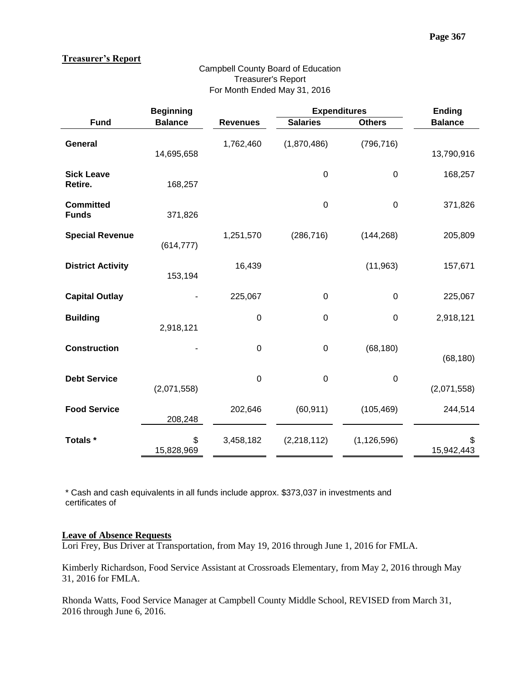## **Treasurer's Report**

### **Beginning Expenditures Ending Fund Balance Revenues Salaries Others Balance General** 14,695,658 1,762,460 (1,870,486) (796,716) 13,790,916 **Sick Leave Retire.** 168,257 0 0 168,257 **Committed Funds** 371,826 0 0 371,826 **Special Revenue** (614,777) 1,251,570 (286,716) (144,268) 205,809 **District Activity**  153,194 16,439 (11,963) 157,671 **Capital Outlay** - 225,067 0 0 225,067 **Building** 2,918,121 0 0 0 2,918,121 **Construction** - 0 0 (68,180) (68,180) **Debt Service** (2,071,558) 0 0 0 (2,071,558) **Food Service** 208,248 202,646 (60,911) (105,469) 244,514 Totals \*  $\qquad$  \$ 15,828,969 3,458,182 (2,218,112) (1,126,596) \$ 15,942,443

Campbell County Board of Education Treasurer's Report For Month Ended May 31, 2016

\* Cash and cash equivalents in all funds include approx. \$373,037 in investments and certificates of

### **Leave of Absence Requests**

Lori Frey, Bus Driver at Transportation, from May 19, 2016 through June 1, 2016 for FMLA.

Kimberly Richardson, Food Service Assistant at Crossroads Elementary, from May 2, 2016 through May 31, 2016 for FMLA.

Rhonda Watts, Food Service Manager at Campbell County Middle School, REVISED from March 31, 2016 through June 6, 2016.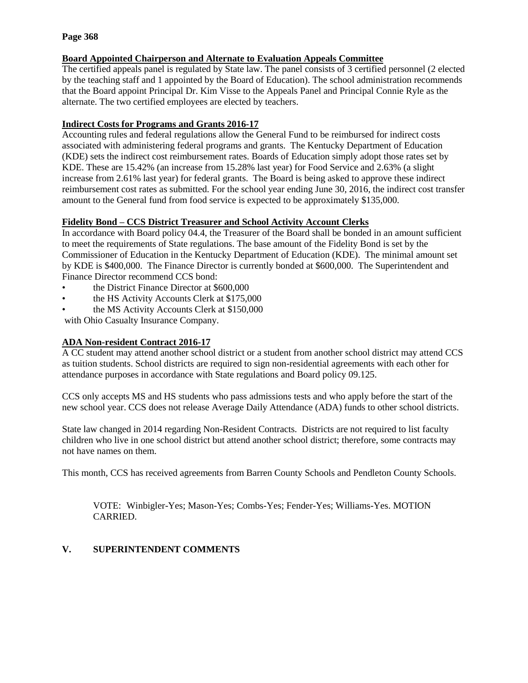## **Page 368**

# **Board Appointed Chairperson and Alternate to Evaluation Appeals Committee**

The certified appeals panel is regulated by State law. The panel consists of 3 certified personnel (2 elected by the teaching staff and 1 appointed by the Board of Education). The school administration recommends that the Board appoint Principal Dr. Kim Visse to the Appeals Panel and Principal Connie Ryle as the alternate. The two certified employees are elected by teachers.

# **Indirect Costs for Programs and Grants 2016-17**

Accounting rules and federal regulations allow the General Fund to be reimbursed for indirect costs associated with administering federal programs and grants. The Kentucky Department of Education (KDE) sets the indirect cost reimbursement rates. Boards of Education simply adopt those rates set by KDE. These are 15.42% (an increase from 15.28% last year) for Food Service and 2.63% (a slight increase from 2.61% last year) for federal grants. The Board is being asked to approve these indirect reimbursement cost rates as submitted. For the school year ending June 30, 2016, the indirect cost transfer amount to the General fund from food service is expected to be approximately \$135,000.

# **Fidelity Bond – CCS District Treasurer and School Activity Account Clerks**

In accordance with Board policy 04.4, the Treasurer of the Board shall be bonded in an amount sufficient to meet the requirements of State regulations. The base amount of the Fidelity Bond is set by the Commissioner of Education in the Kentucky Department of Education (KDE). The minimal amount set by KDE is \$400,000. The Finance Director is currently bonded at \$600,000. The Superintendent and Finance Director recommend CCS bond:

- the District Finance Director at \$600,000
- the HS Activity Accounts Clerk at \$175,000
- the MS Activity Accounts Clerk at \$150,000

with Ohio Casualty Insurance Company.

# **ADA Non-resident Contract 2016-17**

A CC student may attend another school district or a student from another school district may attend CCS as tuition students. School districts are required to sign non-residential agreements with each other for attendance purposes in accordance with State regulations and Board policy 09.125.

CCS only accepts MS and HS students who pass admissions tests and who apply before the start of the new school year. CCS does not release Average Daily Attendance (ADA) funds to other school districts.

State law changed in 2014 regarding Non-Resident Contracts. Districts are not required to list faculty children who live in one school district but attend another school district; therefore, some contracts may not have names on them.

This month, CCS has received agreements from Barren County Schools and Pendleton County Schools.

VOTE: Winbigler-Yes; Mason-Yes; Combs-Yes; Fender-Yes; Williams-Yes. MOTION CARRIED.

# **V. SUPERINTENDENT COMMENTS**